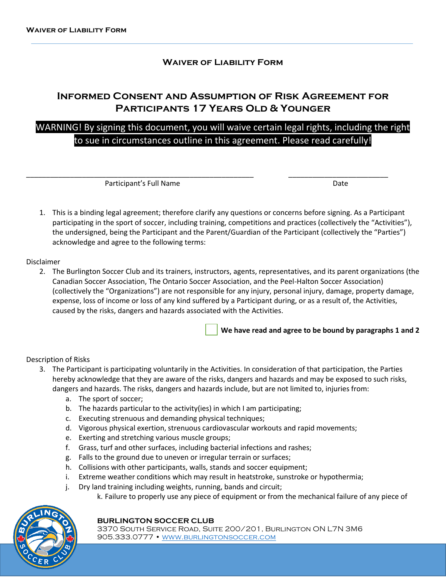### **Waiver of Liability Form**

## **Informed Consent and Assumption of Risk Agreement for Participants 17 Years Old & Younger**

# WARNING! By signing this document, you will waive certain legal rights, including the right to sue in circumstances outline in this agreement. Please read carefully!

\_\_\_\_\_\_\_\_\_\_\_\_\_\_\_\_\_\_\_\_\_\_\_\_\_\_\_\_\_\_\_\_\_\_\_\_\_\_\_\_\_\_\_\_\_\_\_\_\_\_\_\_\_\_\_\_\_ \_\_\_\_\_\_\_\_\_\_\_\_\_\_\_\_\_\_\_\_\_\_\_\_\_

Participant's Full Name Date and Date Date Date

1. This is a binding legal agreement; therefore clarify any questions or concerns before signing. As a Participant participating in the sport of soccer, including training, competitions and practices (collectively the "Activities"), the undersigned, being the Participant and the Parent/Guardian of the Participant (collectively the "Parties") acknowledge and agree to the following terms:

### Disclaimer

2. The Burlington Soccer Club and its trainers, instructors, agents, representatives, and its parent organizations (the Canadian Soccer Association, The Ontario Soccer Association, and the Peel-Halton Soccer Association) (collectively the "Organizations") are not responsible for any injury, personal injury, damage, property damage, expense, loss of income or loss of any kind suffered by a Participant during, or as a result of, the Activities, caused by the risks, dangers and hazards associated with the Activities.

**We have read and agree to be bound by paragraphs 1 and 2**

### Description of Risks

- 3. The Participant is participating voluntarily in the Activities. In consideration of that participation, the Parties hereby acknowledge that they are aware of the risks, dangers and hazards and may be exposed to such risks, dangers and hazards. The risks, dangers and hazards include, but are not limited to, injuries from:
	- a. The sport of soccer;
	- b. The hazards particular to the activity(ies) in which I am participating;
	- c. Executing strenuous and demanding physical techniques;
	- d. Vigorous physical exertion, strenuous cardiovascular workouts and rapid movements;
	- e. Exerting and stretching various muscle groups;
	- f. Grass, turf and other surfaces, including bacterial infections and rashes;
	- g. Falls to the ground due to uneven or irregular terrain or surfaces;
	- h. Collisions with other participants, walls, stands and soccer equipment;
	- i. Extreme weather conditions which may result in heatstroke, sunstroke or hypothermia;
	- j. Dry land training including weights, running, bands and circuit;
		- k. Failure to properly use any piece of equipment or from the mechanical failure of any piece of



#### **BURLINGTON SOCCER CLUB**

3370 South Service Road, Suite 200/201, Burlington ON L7N 3M6 905.333.0777 • WWW.BURLINGTONSOCCER.COM